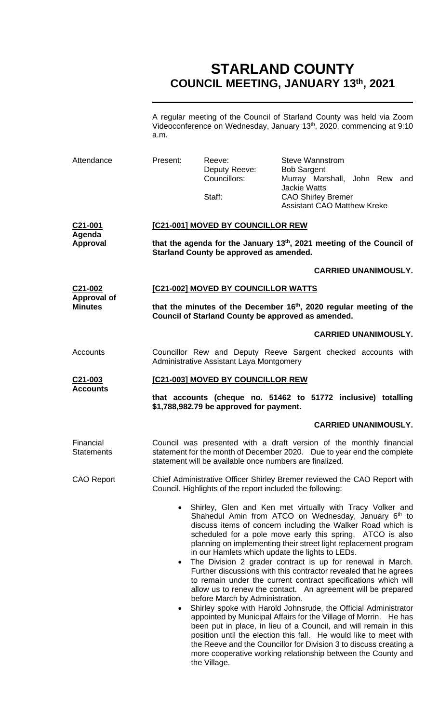# **STARLAND COUNTY COUNCIL MEETING, JANUARY 13 th, 2021**

A regular meeting of the Council of Starland County was held via Zoom Videoconference on Wednesday, January 13<sup>th</sup>, 2020, commencing at 9:10 a.m.

| Attendance                                                                                                                  | Present:                                                                                                                                             | Reeve:<br>Deputy Reeve:<br>Councillors:<br>Staff:       | Steve Wannstrom<br><b>Bob Sargent</b><br>Murray Marshall, John Rew and<br><b>Jackie Watts</b><br><b>CAO Shirley Bremer</b><br><b>Assistant CAO Matthew Kreke</b>                                                                                                                                                                                                                                                                                                                                                                                                                                                                                                                                                                                                                                                                                                                                                                                                                                                                                                         |  |
|-----------------------------------------------------------------------------------------------------------------------------|------------------------------------------------------------------------------------------------------------------------------------------------------|---------------------------------------------------------|--------------------------------------------------------------------------------------------------------------------------------------------------------------------------------------------------------------------------------------------------------------------------------------------------------------------------------------------------------------------------------------------------------------------------------------------------------------------------------------------------------------------------------------------------------------------------------------------------------------------------------------------------------------------------------------------------------------------------------------------------------------------------------------------------------------------------------------------------------------------------------------------------------------------------------------------------------------------------------------------------------------------------------------------------------------------------|--|
| C21-001<br>Agenda<br><b>Approval</b>                                                                                        | [C21-001] MOVED BY COUNCILLOR REW<br>that the agenda for the January 13th, 2021 meeting of the Council of<br>Starland County be approved as amended. |                                                         |                                                                                                                                                                                                                                                                                                                                                                                                                                                                                                                                                                                                                                                                                                                                                                                                                                                                                                                                                                                                                                                                          |  |
| <b>CARRIED UNANIMOUSLY.</b>                                                                                                 |                                                                                                                                                      |                                                         |                                                                                                                                                                                                                                                                                                                                                                                                                                                                                                                                                                                                                                                                                                                                                                                                                                                                                                                                                                                                                                                                          |  |
| C21-002<br>Approval of<br><b>Minutes</b>                                                                                    | [C21-002] MOVED BY COUNCILLOR WATTS<br>that the minutes of the December 16 <sup>th</sup> , 2020 regular meeting of the                               |                                                         |                                                                                                                                                                                                                                                                                                                                                                                                                                                                                                                                                                                                                                                                                                                                                                                                                                                                                                                                                                                                                                                                          |  |
|                                                                                                                             |                                                                                                                                                      | Council of Starland County be approved as amended.      |                                                                                                                                                                                                                                                                                                                                                                                                                                                                                                                                                                                                                                                                                                                                                                                                                                                                                                                                                                                                                                                                          |  |
|                                                                                                                             |                                                                                                                                                      |                                                         | <b>CARRIED UNANIMOUSLY.</b>                                                                                                                                                                                                                                                                                                                                                                                                                                                                                                                                                                                                                                                                                                                                                                                                                                                                                                                                                                                                                                              |  |
| Accounts                                                                                                                    | Councillor Rew and Deputy Reeve Sargent checked accounts with<br>Administrative Assistant Laya Montgomery                                            |                                                         |                                                                                                                                                                                                                                                                                                                                                                                                                                                                                                                                                                                                                                                                                                                                                                                                                                                                                                                                                                                                                                                                          |  |
| C21-003                                                                                                                     | [C21-003] MOVED BY COUNCILLOR REW                                                                                                                    |                                                         |                                                                                                                                                                                                                                                                                                                                                                                                                                                                                                                                                                                                                                                                                                                                                                                                                                                                                                                                                                                                                                                                          |  |
| <b>Accounts</b><br>that accounts (cheque no. 51462 to 51772 inclusive) totalling<br>\$1,788,982.79 be approved for payment. |                                                                                                                                                      |                                                         |                                                                                                                                                                                                                                                                                                                                                                                                                                                                                                                                                                                                                                                                                                                                                                                                                                                                                                                                                                                                                                                                          |  |
|                                                                                                                             |                                                                                                                                                      |                                                         | <b>CARRIED UNANIMOUSLY.</b>                                                                                                                                                                                                                                                                                                                                                                                                                                                                                                                                                                                                                                                                                                                                                                                                                                                                                                                                                                                                                                              |  |
| Financial<br><b>Statements</b>                                                                                              |                                                                                                                                                      | statement will be available once numbers are finalized. | Council was presented with a draft version of the monthly financial<br>statement for the month of December 2020. Due to year end the complete                                                                                                                                                                                                                                                                                                                                                                                                                                                                                                                                                                                                                                                                                                                                                                                                                                                                                                                            |  |
| <b>CAO Report</b>                                                                                                           | Chief Administrative Officer Shirley Bremer reviewed the CAO Report with<br>Council. Highlights of the report included the following:                |                                                         |                                                                                                                                                                                                                                                                                                                                                                                                                                                                                                                                                                                                                                                                                                                                                                                                                                                                                                                                                                                                                                                                          |  |
|                                                                                                                             | $\bullet$<br>$\bullet$                                                                                                                               | before March by Administration.                         | Shirley, Glen and Ken met virtually with Tracy Volker and<br>Shahedul Amin from ATCO on Wednesday, January 6 <sup>th</sup> to<br>discuss items of concern including the Walker Road which is<br>scheduled for a pole move early this spring. ATCO is also<br>planning on implementing their street light replacement program<br>in our Hamlets which update the lights to LEDs.<br>The Division 2 grader contract is up for renewal in March.<br>Further discussions with this contractor revealed that he agrees<br>to remain under the current contract specifications which will<br>allow us to renew the contact. An agreement will be prepared<br>Shirley spoke with Harold Johnsrude, the Official Administrator<br>appointed by Municipal Affairs for the Village of Morrin. He has<br>been put in place, in lieu of a Council, and will remain in this<br>position until the election this fall. He would like to meet with<br>the Reeve and the Councillor for Division 3 to discuss creating a<br>more cooperative working relationship between the County and |  |

the Village.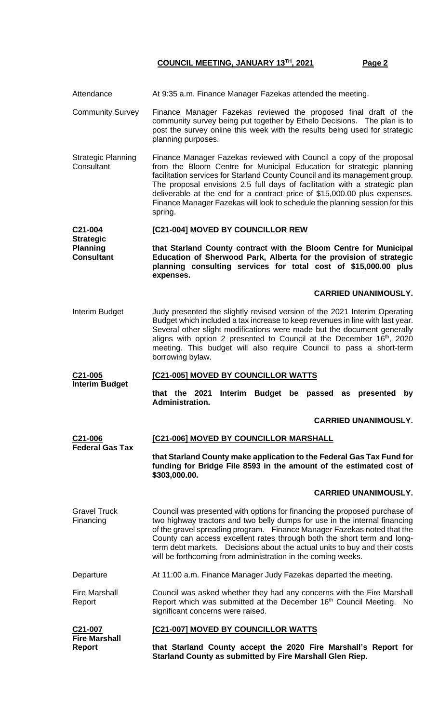- Attendance At 9:35 a.m. Finance Manager Fazekas attended the meeting.
- Community Survey Finance Manager Fazekas reviewed the proposed final draft of the community survey being put together by Ethelo Decisions. The plan is to post the survey online this week with the results being used for strategic planning purposes.
- Strategic Planning **Consultant** Finance Manager Fazekas reviewed with Council a copy of the proposal from the Bloom Centre for Municipal Education for strategic planning facilitation services for Starland County Council and its management group. The proposal envisions 2.5 full days of facilitation with a strategic plan deliverable at the end for a contract price of \$15,000.00 plus expenses. Finance Manager Fazekas will look to schedule the planning session for this spring.

#### **C21-004 Strategic [C21-004] MOVED BY COUNCILLOR REW**

**Planning Consultant that Starland County contract with the Bloom Centre for Municipal Education of Sherwood Park, Alberta for the provision of strategic planning consulting services for total cost of \$15,000.00 plus expenses.**

# **CARRIED UNANIMOUSLY.**

Interim Budget Judy presented the slightly revised version of the 2021 Interim Operating Budget which included a tax increase to keep revenues in line with last year. Several other slight modifications were made but the document generally aligns with option 2 presented to Council at the December 16<sup>th</sup>, 2020 meeting. This budget will also require Council to pass a short-term borrowing bylaw.

#### **C21-005 Interim Budget [C21-005] MOVED BY COUNCILLOR WATTS**

**that the 2021 Interim Budget be passed as presented by Administration.** 

# **CARRIED UNANIMOUSLY.**

**C21-006 Federal Gas Tax [C21-006] MOVED BY COUNCILLOR MARSHALL**

**that Starland County make application to the Federal Gas Tax Fund for funding for Bridge File 8593 in the amount of the estimated cost of \$303,000.00.**

# **CARRIED UNANIMOUSLY.**

- Gravel Truck Financing Council was presented with options for financing the proposed purchase of two highway tractors and two belly dumps for use in the internal financing of the gravel spreading program. Finance Manager Fazekas noted that the County can access excellent rates through both the short term and longterm debt markets. Decisions about the actual units to buy and their costs will be forthcoming from administration in the coming weeks.
- Departure **At 11:00 a.m. Finance Manager Judy Fazekas departed the meeting.**

Fire Marshall Report Council was asked whether they had any concerns with the Fire Marshall Report which was submitted at the December 16<sup>th</sup> Council Meeting. No significant concerns were raised.

| C21-007              | <b>[C21-007] MOVED BY COUNCILLOR WATTS</b> |
|----------------------|--------------------------------------------|
| <b>Fire Marshall</b> |                                            |

| FII & MAI SHAIL |                                                                 |
|-----------------|-----------------------------------------------------------------|
| <b>Report</b>   | that Starland County accept the 2020 Fire Marshall's Report for |
|                 | Starland County as submitted by Fire Marshall Glen Riep.        |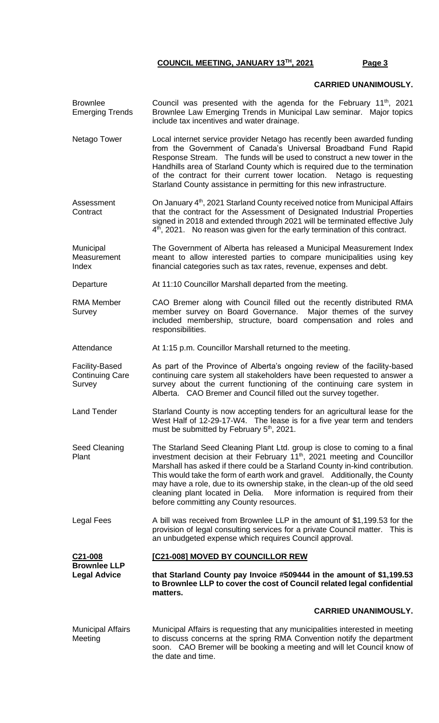### **CARRIED UNANIMOUSLY.**

- Brownlee Emerging Trends Council was presented with the agenda for the February  $11<sup>th</sup>$ , 2021 Brownlee Law Emerging Trends in Municipal Law seminar. Major topics include tax incentives and water drainage.
- Netago Tower Local internet service provider Netago has recently been awarded funding from the Government of Canada's Universal Broadband Fund Rapid Response Stream. The funds will be used to construct a new tower in the Handhills area of Starland County which is required due to the termination of the contract for their current tower location. Netago is requesting Starland County assistance in permitting for this new infrastructure.
- Assessment **Contract** On January 4<sup>th</sup>, 2021 Starland County received notice from Municipal Affairs that the contract for the Assessment of Designated Industrial Properties signed in 2018 and extended through 2021 will be terminated effective July 4<sup>th</sup>, 2021. No reason was given for the early termination of this contract.

**Municipal Measurement** Index The Government of Alberta has released a Municipal Measurement Index meant to allow interested parties to compare municipalities using key financial categories such as tax rates, revenue, expenses and debt.

Departure **At 11:10 Councillor Marshall departed from the meeting.** 

RMA Member **Survev** CAO Bremer along with Council filled out the recently distributed RMA member survey on Board Governance. Major themes of the survey included membership, structure, board compensation and roles and responsibilities.

Attendance At 1:15 p.m. Councillor Marshall returned to the meeting.

Facility-Based Continuing Care Survey As part of the Province of Alberta's ongoing review of the facility-based continuing care system all stakeholders have been requested to answer a survey about the current functioning of the continuing care system in Alberta. CAO Bremer and Council filled out the survey together.

Land Tender Starland County is now accepting tenders for an agricultural lease for the West Half of 12-29-17-W4. The lease is for a five year term and tenders must be submitted by February 5<sup>th</sup>, 2021.

- Seed Cleaning Plant The Starland Seed Cleaning Plant Ltd. group is close to coming to a final investment decision at their February  $11<sup>th</sup>$ , 2021 meeting and Councillor Marshall has asked if there could be a Starland County in-kind contribution. This would take the form of earth work and gravel. Additionally, the County may have a role, due to its ownership stake, in the clean-up of the old seed cleaning plant located in Delia. More information is required from their before committing any County resources.
- Legal Fees A bill was received from Brownlee LLP in the amount of \$1,199.53 for the provision of legal consulting services for a private Council matter. This is an unbudgeted expense which requires Council approval.

**C21-008 Brownlee LLP [C21-008] MOVED BY COUNCILLOR REW**

**Legal Advice that Starland County pay Invoice #509444 in the amount of \$1,199.53 to Brownlee LLP to cover the cost of Council related legal confidential matters.**

# **CARRIED UNANIMOUSLY.**

Municipal Affairs Meeting Municipal Affairs is requesting that any municipalities interested in meeting to discuss concerns at the spring RMA Convention notify the department soon. CAO Bremer will be booking a meeting and will let Council know of the date and time.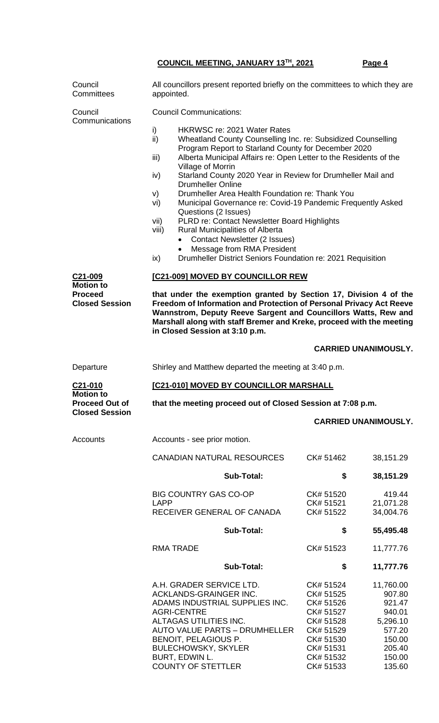| Council<br>Committees                                                 | All councillors present reported briefly on the committees to which they are<br>appointed.                                                                                                                                                                                                                                                                          |                                                                                                                                                                                                                                                                                                                                                                                                                                                                                          |                                                                                                       |  |
|-----------------------------------------------------------------------|---------------------------------------------------------------------------------------------------------------------------------------------------------------------------------------------------------------------------------------------------------------------------------------------------------------------------------------------------------------------|------------------------------------------------------------------------------------------------------------------------------------------------------------------------------------------------------------------------------------------------------------------------------------------------------------------------------------------------------------------------------------------------------------------------------------------------------------------------------------------|-------------------------------------------------------------------------------------------------------|--|
| Council<br>Communications<br>C <sub>21</sub> -009<br><b>Motion to</b> | <b>Council Communications:</b><br><b>HKRWSC re: 2021 Water Rates</b><br>i)<br>ii)<br>iii)<br>Village of Morrin<br>iv)<br><b>Drumheller Online</b><br>V)<br>vi)<br>Questions (2 Issues)<br>vii)<br><b>Rural Municipalities of Alberta</b><br>viii)<br><b>Contact Newsletter (2 Issues)</b><br>Message from RMA President<br>ix)<br>[C21-009] MOVED BY COUNCILLOR REW | Wheatland County Counselling Inc. re: Subsidized Counselling<br>Program Report to Starland County for December 2020<br>Alberta Municipal Affairs re: Open Letter to the Residents of the<br>Starland County 2020 Year in Review for Drumheller Mail and<br>Drumheller Area Health Foundation re: Thank You<br>Municipal Governance re: Covid-19 Pandemic Frequently Asked<br>PLRD re: Contact Newsletter Board Highlights<br>Drumheller District Seniors Foundation re: 2021 Requisition |                                                                                                       |  |
| <b>Proceed</b><br><b>Closed Session</b>                               | that under the exemption granted by Section 17, Division 4 of the<br>Freedom of Information and Protection of Personal Privacy Act Reeve<br>Wannstrom, Deputy Reeve Sargent and Councillors Watts, Rew and<br>Marshall along with staff Bremer and Kreke, proceed with the meeting<br>in Closed Session at 3:10 p.m.                                                |                                                                                                                                                                                                                                                                                                                                                                                                                                                                                          |                                                                                                       |  |
|                                                                       |                                                                                                                                                                                                                                                                                                                                                                     |                                                                                                                                                                                                                                                                                                                                                                                                                                                                                          | <b>CARRIED UNANIMOUSLY.</b>                                                                           |  |
| Departure                                                             | Shirley and Matthew departed the meeting at 3:40 p.m.                                                                                                                                                                                                                                                                                                               |                                                                                                                                                                                                                                                                                                                                                                                                                                                                                          |                                                                                                       |  |
| C21-010                                                               | [C21-010] MOVED BY COUNCILLOR MARSHALL                                                                                                                                                                                                                                                                                                                              |                                                                                                                                                                                                                                                                                                                                                                                                                                                                                          |                                                                                                       |  |
| <b>Motion to</b><br><b>Proceed Out of</b>                             | that the meeting proceed out of Closed Session at 7:08 p.m.                                                                                                                                                                                                                                                                                                         |                                                                                                                                                                                                                                                                                                                                                                                                                                                                                          |                                                                                                       |  |
| <b>Closed Session</b>                                                 |                                                                                                                                                                                                                                                                                                                                                                     |                                                                                                                                                                                                                                                                                                                                                                                                                                                                                          | <b>CARRIED UNANIMOUSLY.</b>                                                                           |  |
| Accounts                                                              | Accounts - see prior motion.                                                                                                                                                                                                                                                                                                                                        |                                                                                                                                                                                                                                                                                                                                                                                                                                                                                          |                                                                                                       |  |
|                                                                       | <b>CANADIAN NATURAL RESOURCES</b>                                                                                                                                                                                                                                                                                                                                   | CK# 51462                                                                                                                                                                                                                                                                                                                                                                                                                                                                                | 38,151.29                                                                                             |  |
|                                                                       | <b>Sub-Total:</b>                                                                                                                                                                                                                                                                                                                                                   | \$                                                                                                                                                                                                                                                                                                                                                                                                                                                                                       | 38,151.29                                                                                             |  |
|                                                                       | <b>BIG COUNTRY GAS CO-OP</b>                                                                                                                                                                                                                                                                                                                                        | CK# 51520                                                                                                                                                                                                                                                                                                                                                                                                                                                                                | 419.44                                                                                                |  |
|                                                                       | <b>LAPP</b><br>RECEIVER GENERAL OF CANADA                                                                                                                                                                                                                                                                                                                           | CK# 51521<br>CK# 51522                                                                                                                                                                                                                                                                                                                                                                                                                                                                   | 21,071.28<br>34,004.76                                                                                |  |
|                                                                       | <b>Sub-Total:</b>                                                                                                                                                                                                                                                                                                                                                   | \$                                                                                                                                                                                                                                                                                                                                                                                                                                                                                       | 55,495.48                                                                                             |  |
|                                                                       | <b>RMA TRADE</b>                                                                                                                                                                                                                                                                                                                                                    | CK# 51523                                                                                                                                                                                                                                                                                                                                                                                                                                                                                | 11,777.76                                                                                             |  |
|                                                                       | <b>Sub-Total:</b>                                                                                                                                                                                                                                                                                                                                                   | \$                                                                                                                                                                                                                                                                                                                                                                                                                                                                                       | 11,777.76                                                                                             |  |
|                                                                       | A.H. GRADER SERVICE LTD.<br>ACKLANDS-GRAINGER INC.<br>ADAMS INDUSTRIAL SUPPLIES INC.<br><b>AGRI-CENTRE</b><br>ALTAGAS UTILITIES INC.<br><b>AUTO VALUE PARTS - DRUMHELLER</b><br>BENOIT, PELAGIOUS P.<br><b>BULECHOWSKY, SKYLER</b><br>BURT, EDWIN L.<br><b>COUNTY OF STETTLER</b>                                                                                   | CK# 51524<br>CK# 51525<br>CK# 51526<br>CK# 51527<br>CK# 51528<br>CK# 51529<br>CK# 51530<br>CK# 51531<br>CK# 51532<br>CK# 51533                                                                                                                                                                                                                                                                                                                                                           | 11,760.00<br>907.80<br>921.47<br>940.01<br>5,296.10<br>577.20<br>150.00<br>205.40<br>150.00<br>135.60 |  |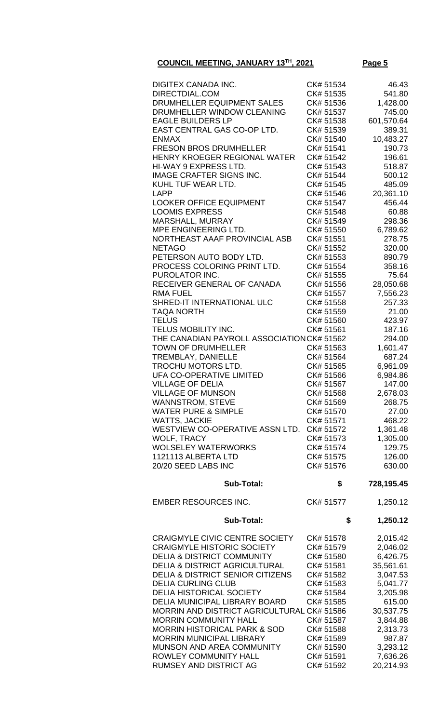| <b>DIGITEX CANADA INC.</b>                                                        | CK# 51534              | 46.43                 |
|-----------------------------------------------------------------------------------|------------------------|-----------------------|
| DIRECTDIAL.COM                                                                    | CK# 51535              | 541.80                |
| DRUMHELLER EQUIPMENT SALES                                                        | CK# 51536              | 1,428.00              |
| DRUMHELLER WINDOW CLEANING                                                        | CK# 51537              | 745.00                |
| <b>EAGLE BUILDERS LP</b>                                                          | CK# 51538              | 601,570.64            |
| EAST CENTRAL GAS CO-OP LTD.                                                       | CK# 51539              | 389.31                |
| <b>ENMAX</b>                                                                      | CK# 51540              | 10,483.27             |
| <b>FRESON BROS DRUMHELLER</b>                                                     | CK# 51541              | 190.73                |
| HENRY KROEGER REGIONAL WATER<br>HI-WAY 9 EXPRESS LTD.                             | CK# 51542<br>CK# 51543 | 196.61<br>518.87      |
| <b>IMAGE CRAFTER SIGNS INC.</b>                                                   | CK# 51544              | 500.12                |
| KUHL TUF WEAR LTD.                                                                | CK# 51545              | 485.09                |
| <b>LAPP</b>                                                                       | CK# 51546              | 20,361.10             |
| <b>LOOKER OFFICE EQUIPMENT</b>                                                    | CK# 51547              | 456.44                |
| <b>LOOMIS EXPRESS</b>                                                             | CK# 51548              | 60.88                 |
| MARSHALL, MURRAY                                                                  | CK# 51549              | 298.36                |
| MPE ENGINEERING LTD.                                                              | CK# 51550              | 6,789.62              |
| NORTHEAST AAAF PROVINCIAL ASB                                                     | CK# 51551              | 278.75                |
| <b>NETAGO</b>                                                                     | CK# 51552              | 320.00                |
| PETERSON AUTO BODY LTD.                                                           | CK# 51553              | 890.79                |
| PROCESS COLORING PRINT LTD.                                                       | CK# 51554              | 358.16                |
| PUROLATOR INC.                                                                    | CK# 51555              | 75.64                 |
| RECEIVER GENERAL OF CANADA                                                        | CK# 51556              | 28,050.68             |
| <b>RMA FUEL</b>                                                                   | CK# 51557              | 7,556.23              |
| SHRED-IT INTERNATIONAL ULC                                                        | CK# 51558              | 257.33                |
| <b>TAQA NORTH</b>                                                                 | CK# 51559              | 21.00                 |
| <b>TELUS</b>                                                                      | CK# 51560              | 423.97                |
| TELUS MOBILITY INC.                                                               | CK# 51561              | 187.16                |
| THE CANADIAN PAYROLL ASSOCIATION CK# 51562<br><b>TOWN OF DRUMHELLER</b>           | CK# 51563              | 294.00<br>1,601.47    |
| TREMBLAY, DANIELLE                                                                | CK# 51564              | 687.24                |
| TROCHU MOTORS LTD.                                                                | CK# 51565              | 6,961.09              |
| <b>UFA CO-OPERATIVE LIMITED</b>                                                   | CK# 51566              | 6,984.86              |
| <b>VILLAGE OF DELIA</b>                                                           | CK# 51567              | 147.00                |
| <b>VILLAGE OF MUNSON</b>                                                          | CK# 51568              | 2,678.03              |
| WANNSTROM, STEVE                                                                  | CK# 51569              | 268.75                |
| <b>WATER PURE &amp; SIMPLE</b>                                                    | CK# 51570              | 27.00                 |
| <b>WATTS, JACKIE</b>                                                              | CK# 51571              | 468.22                |
| WESTVIEW CO-OPERATIVE ASSN LTD.                                                   | CK# 51572              | 1,361.48              |
| <b>WOLF, TRACY</b>                                                                | CK# 51573              | 1,305.00              |
| <b>WOLSELEY WATERWORKS</b>                                                        | CK# 51574              | 129.75                |
| 1121113 ALBERTA LTD                                                               | CK# 51575              | 126.00                |
| 20/20 SEED LABS INC                                                               | CK# 51576              | 630.00                |
| <b>Sub-Total:</b>                                                                 | \$                     | 728,195.45            |
| <b>EMBER RESOURCES INC.</b>                                                       | CK# 51577              | 1,250.12              |
| Sub-Total:                                                                        | \$                     | 1,250.12              |
|                                                                                   |                        |                       |
| <b>CRAIGMYLE CIVIC CENTRE SOCIETY</b>                                             | CK# 51578              | 2,015.42              |
| <b>CRAIGMYLE HISTORIC SOCIETY</b>                                                 | CK# 51579              | 2,046.02              |
| <b>DELIA &amp; DISTRICT COMMUNITY</b><br><b>DELIA &amp; DISTRICT AGRICULTURAL</b> | CK# 51580<br>CK# 51581 | 6,426.75              |
| <b>DELIA &amp; DISTRICT SENIOR CITIZENS</b>                                       | CK# 51582              | 35,561.61<br>3,047.53 |
| <b>DELIA CURLING CLUB</b>                                                         | CK# 51583              | 5,041.77              |
| <b>DELIA HISTORICAL SOCIETY</b>                                                   |                        | 3,205.98              |
| DELIA MUNICIPAL LIBRARY BOARD                                                     |                        |                       |
| MORRIN AND DISTRICT AGRICULTURAL CK# 51586                                        | CK# 51584              |                       |
|                                                                                   | CK# 51585              | 615.00                |
| <b>MORRIN COMMUNITY HALL</b>                                                      | CK# 51587              | 30,537.75<br>3,844.88 |
| <b>MORRIN HISTORICAL PARK &amp; SOD</b>                                           | CK# 51588              | 2,313.73              |
| <b>MORRIN MUNICIPAL LIBRARY</b>                                                   | CK# 51589              | 987.87                |
| MUNSON AND AREA COMMUNITY                                                         | CK# 51590              | 3,293.12              |
| ROWLEY COMMUNITY HALL<br><b>RUMSEY AND DISTRICT AG</b>                            | CK# 51591<br>CK# 51592 | 7,636.26<br>20,214.93 |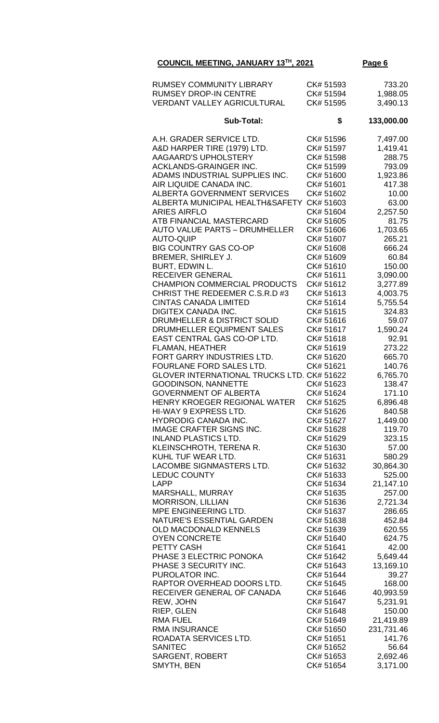| RUMSEY COMMUNITY LIBRARY<br><b>RUMSEY DROP-IN CENTRE</b><br><b>VERDANT VALLEY AGRICULTURAL</b> | CK# 51593<br>CK# 51594<br>CK# 51595 | 733.20<br>1,988.05<br>3,490.13 |
|------------------------------------------------------------------------------------------------|-------------------------------------|--------------------------------|
| Sub-Total:                                                                                     | \$                                  | 133,000.00                     |
| A.H. GRADER SERVICE LTD.                                                                       | CK# 51596                           | 7,497.00                       |
| A&D HARPER TIRE (1979) LTD.                                                                    | CK# 51597                           | 1,419.41                       |
| AAGAARD'S UPHOLSTERY                                                                           | CK# 51598                           | 288.75                         |
| ACKLANDS-GRAINGER INC.                                                                         | CK# 51599                           | 793.09                         |
| ADAMS INDUSTRIAL SUPPLIES INC.                                                                 | CK# 51600                           | 1,923.86                       |
| AIR LIQUIDE CANADA INC.                                                                        | CK# 51601                           | 417.38                         |
| <b>ALBERTA GOVERNMENT SERVICES</b>                                                             | CK# 51602                           | 10.00                          |
| ALBERTA MUNICIPAL HEALTH&SAFETY                                                                | CK# 51603                           | 63.00                          |
| <b>ARIES AIRFLO</b>                                                                            | CK# 51604<br>CK# 51605              | 2,257.50                       |
| ATB FINANCIAL MASTERCARD<br><b>AUTO VALUE PARTS - DRUMHELLER</b>                               | CK#51606                            | 81.75                          |
| <b>AUTO-QUIP</b>                                                                               | CK# 51607                           | 1,703.65<br>265.21             |
| <b>BIG COUNTRY GAS CO-OP</b>                                                                   | CK# 51608                           | 666.24                         |
| BREMER, SHIRLEY J.                                                                             | CK# 51609                           | 60.84                          |
| BURT, EDWIN L.                                                                                 | CK# 51610                           | 150.00                         |
| <b>RECEIVER GENERAL</b>                                                                        | CK# 51611                           | 3,090.00                       |
| CHAMPION COMMERCIAL PRODUCTS                                                                   | CK# 51612                           | 3,277.89                       |
| CHRIST THE REDEEMER C.S.R.D #3                                                                 | CK# 51613                           | 4,003.75                       |
| <b>CINTAS CANADA LIMITED</b>                                                                   | CK# 51614                           | 5,755.54                       |
| <b>DIGITEX CANADA INC.</b>                                                                     | CK# 51615                           | 324.83                         |
| DRUMHELLER & DISTRICT SOLID                                                                    | CK# 51616                           | 59.07                          |
| DRUMHELLER EQUIPMENT SALES                                                                     | CK# 51617                           | 1,590.24                       |
| EAST CENTRAL GAS CO-OP LTD.                                                                    | CK# 51618                           | 92.91                          |
| <b>FLAMAN, HEATHER</b>                                                                         | CK# 51619                           | 273.22                         |
| FORT GARRY INDUSTRIES LTD.                                                                     | CK# 51620                           | 665.70                         |
| FOURLANE FORD SALES LTD.                                                                       | CK# 51621                           | 140.76                         |
| <b>GLOVER INTERNATIONAL TRUCKS LTD. CK# 51622</b>                                              |                                     | 6,765.70                       |
| <b>GOODINSON, NANNETTE</b><br><b>GOVERNMENT OF ALBERTA</b>                                     | CK# 51623<br>CK# 51624              | 138.47                         |
| HENRY KROEGER REGIONAL WATER                                                                   | CK# 51625                           | 171.10<br>6,896.48             |
| HI-WAY 9 EXPRESS LTD.                                                                          | CK# 51626                           | 840.58                         |
| HYDRODIG CANADA INC.                                                                           | CK# 51627                           | 1,449.00                       |
| <b>IMAGE CRAFTER SIGNS INC.</b>                                                                | CK# 51628                           | 119.70                         |
| <b>INLAND PLASTICS LTD.</b>                                                                    | CK# 51629                           | 323.15                         |
| KLEINSCHROTH, TERENA R.                                                                        | CK# 51630                           | 57.00                          |
| KUHL TUF WEAR LTD.                                                                             | CK# 51631                           | 580.29                         |
| LACOMBE SIGNMASTERS LTD.                                                                       | CK# 51632                           | 30,864.30                      |
| <b>LEDUC COUNTY</b>                                                                            | CK# 51633                           | 525.00                         |
| <b>LAPP</b>                                                                                    | CK# 51634                           | 21,147.10                      |
| MARSHALL, MURRAY                                                                               | CK# 51635                           | 257.00                         |
| <b>MORRISON, LILLIAN</b>                                                                       | CK# 51636                           | 2,721.34                       |
| MPE ENGINEERING LTD.                                                                           | CK# 51637                           | 286.65                         |
| NATURE'S ESSENTIAL GARDEN                                                                      | CK# 51638                           | 452.84                         |
| <b>OLD MACDONALD KENNELS</b>                                                                   | CK# 51639                           | 620.55                         |
| <b>OYEN CONCRETE</b><br>PETTY CASH                                                             | CK# 51640<br>CK# 51641              | 624.75<br>42.00                |
| PHASE 3 ELECTRIC PONOKA                                                                        | CK# 51642                           | 5,649.44                       |
| PHASE 3 SECURITY INC.                                                                          | CK# 51643                           | 13,169.10                      |
| PUROLATOR INC.                                                                                 | CK# 51644                           | 39.27                          |
| RAPTOR OVERHEAD DOORS LTD.                                                                     | CK# 51645                           | 168.00                         |
| RECEIVER GENERAL OF CANADA                                                                     | CK# 51646                           | 40,993.59                      |
| REW, JOHN                                                                                      | CK# 51647                           | 5,231.91                       |
| RIEP, GLEN                                                                                     | CK# 51648                           | 150.00                         |
| <b>RMA FUEL</b>                                                                                | CK# 51649                           | 21,419.89                      |
| <b>RMA INSURANCE</b>                                                                           | CK# 51650                           | 231,731.46                     |
| ROADATA SERVICES LTD.                                                                          | CK# 51651                           | 141.76                         |
| <b>SANITEC</b>                                                                                 | CK# 51652                           | 56.64                          |
| <b>SARGENT, ROBERT</b>                                                                         | CK# 51653                           | 2,692.46                       |
| SMYTH, BEN                                                                                     | CK# 51654                           | 3,171.00                       |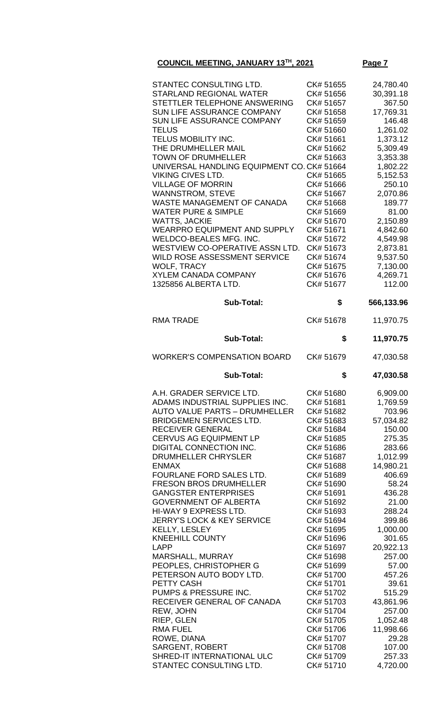| STANTEC CONSULTING LTD.                                                |                        |                        |
|------------------------------------------------------------------------|------------------------|------------------------|
| STARLAND REGIONAL WATER                                                | CK# 51655<br>CK# 51656 | 24,780.40<br>30,391.18 |
| STETTLER TELEPHONE ANSWERING                                           | CK# 51657              | 367.50                 |
| SUN LIFE ASSURANCE COMPANY                                             | CK# 51658              |                        |
| SUN LIFE ASSURANCE COMPANY                                             | CK# 51659              | 17,769.31<br>146.48    |
| TELUS                                                                  | CK# 51660              |                        |
| TELUS MOBILITY INC.                                                    |                        | 1,261.02               |
| THE DRUMHELLER MAIL                                                    | CK# 51661<br>CK# 51662 | 1,373.12               |
| <b>TOWN OF DRUMHELLER</b>                                              | CK# 51663              | 5,309.49               |
| UNIVERSAL HANDLING EQUIPMENT CO. CK# 51664                             |                        | 3,353.38               |
| VIKING CIVES LTD.                                                      | CK# 51665              | 1,802.22<br>5,152.53   |
| <b>VILLAGE OF MORRIN</b>                                               | CK# 51666              | 250.10                 |
| <b>WANNSTROM, STEVE</b>                                                | CK# 51667              | 2,070.86               |
| WASTE MANAGEMENT OF CANADA                                             | CK# 51668              | 189.77                 |
| <b>WATER PURE &amp; SIMPLE</b>                                         | CK# 51669              | 81.00                  |
| WATTS, JACKIE                                                          | CK# 51670              | 2,150.89               |
| <b>WEARPRO EQUIPMENT AND SUPPLY</b>                                    | CK# 51671              | 4,842.60               |
| WELDCO-BEALES MFG. INC.                                                | CK# 51672              | 4,549.98               |
| WESTVIEW CO-OPERATIVE ASSN LTD.                                        | CK# 51673              | 2,873.81               |
| WILD ROSE ASSESSMENT SERVICE                                           | CK# 51674              | 9,537.50               |
| <b>WOLF, TRACY</b>                                                     | CK# 51675              | 7,130.00               |
| <b>XYLEM CANADA COMPANY</b>                                            | CK# 51676              | 4,269.71               |
| 1325856 ALBERTA LTD.                                                   | CK# 51677              | 112.00                 |
|                                                                        |                        |                        |
| <b>Sub-Total:</b>                                                      | \$                     | 566,133.96             |
| <b>RMA TRADE</b>                                                       | CK# 51678              | 11,970.75              |
| <b>Sub-Total:</b>                                                      | \$                     | 11,970.75              |
| <b>WORKER'S COMPENSATION BOARD</b>                                     | CK# 51679              | 47,030.58              |
|                                                                        |                        |                        |
| <b>Sub-Total:</b>                                                      | \$                     | 47,030.58              |
|                                                                        |                        |                        |
| A.H. GRADER SERVICE LTD.                                               | CK# 51680<br>CK# 51681 | 6,909.00               |
| ADAMS INDUSTRIAL SUPPLIES INC.<br><b>AUTO VALUE PARTS - DRUMHELLER</b> | CK# 51682              | 1,769.59               |
| BRIDGEMEN SERVICES LTD.                                                | CK# 51683              | 703.96<br>57,034.82    |
| RECEIVER GENERAL                                                       | CK# 51684              | 150.00                 |
| <b>CERVUS AG EQUIPMENT LP</b>                                          | CK# 51685              | 275.35                 |
| DIGITAL CONNECTION INC.                                                | CK# 51686              | 283.66                 |
| DRUMHELLER CHRYSLER                                                    | CK# 51687              | 1,012.99               |
| <b>ENMAX</b>                                                           | CK# 51688              | 14,980.21              |
| FOURLANE FORD SALES LTD.                                               | CK# 51689              | 406.69                 |
| <b>FRESON BROS DRUMHELLER</b>                                          | CK# 51690              | 58.24                  |
| <b>GANGSTER ENTERPRISES</b>                                            | CK# 51691              | 436.28                 |
| <b>GOVERNMENT OF ALBERTA</b>                                           | CK# 51692              | 21.00                  |
| HI-WAY 9 EXPRESS LTD.                                                  | CK# 51693              | 288.24                 |
| JERRY'S LOCK & KEY SERVICE                                             | CK# 51694              | 399.86                 |
| KELLY, LESLEY                                                          | CK# 51695              | 1,000.00               |
| KNEEHILL COUNTY                                                        | CK# 51696              | 301.65                 |
| LAPP                                                                   | CK# 51697              | 20,922.13              |
| MARSHALL, MURRAY                                                       | CK# 51698              | 257.00                 |
| PEOPLES, CHRISTOPHER G                                                 | CK# 51699              | 57.00                  |
| PETERSON AUTO BODY LTD.                                                | CK# 51700              | 457.26                 |
| PETTY CASH                                                             | CK# 51701              | 39.61                  |
| PUMPS & PRESSURE INC.                                                  | CK# 51702              | 515.29                 |
| RECEIVER GENERAL OF CANADA                                             | CK# 51703              | 43,861.96              |
| REW, JOHN                                                              | CK# 51704              | 257.00                 |
| RIEP, GLEN<br>RMA FUEL                                                 | CK# 51705<br>CK# 51706 | 1,052.48               |
| ROWE, DIANA                                                            | CK# 51707              | 11,998.66<br>29.28     |
| <b>SARGENT, ROBERT</b>                                                 | CK# 51708              | 107.00                 |

STANTEC CONSULTING LTD. CK# 51710 4,720.00